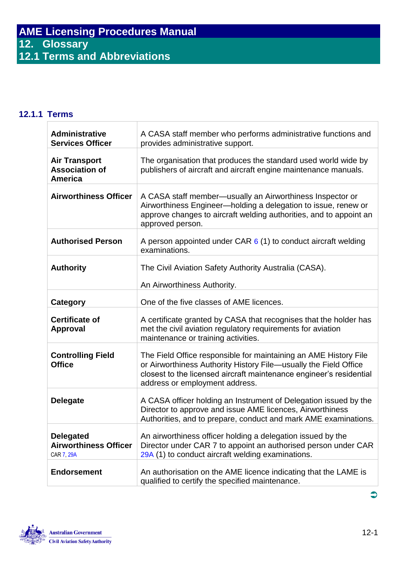## **12.1.1 Terms**

| <b>Administrative</b><br><b>Services Officer</b>                | A CASA staff member who performs administrative functions and<br>provides administrative support.                                                                                                                                             |
|-----------------------------------------------------------------|-----------------------------------------------------------------------------------------------------------------------------------------------------------------------------------------------------------------------------------------------|
| <b>Air Transport</b><br><b>Association of</b><br><b>America</b> | The organisation that produces the standard used world wide by<br>publishers of aircraft and aircraft engine maintenance manuals.                                                                                                             |
| <b>Airworthiness Officer</b>                                    | A CASA staff member—usually an Airworthiness Inspector or<br>Airworthiness Engineer-holding a delegation to issue, renew or<br>approve changes to aircraft welding authorities, and to appoint an<br>approved person.                         |
| <b>Authorised Person</b>                                        | A person appointed under CAR $6(1)$ to conduct aircraft welding<br>examinations.                                                                                                                                                              |
| <b>Authority</b>                                                | The Civil Aviation Safety Authority Australia (CASA).<br>An Airworthiness Authority.                                                                                                                                                          |
| Category                                                        | One of the five classes of AME licences.                                                                                                                                                                                                      |
| <b>Certificate of</b><br><b>Approval</b>                        | A certificate granted by CASA that recognises that the holder has<br>met the civil aviation regulatory requirements for aviation<br>maintenance or training activities.                                                                       |
| <b>Controlling Field</b><br><b>Office</b>                       | The Field Office responsible for maintaining an AME History File<br>or Airworthiness Authority History File-usually the Field Office<br>closest to the licensed aircraft maintenance engineer's residential<br>address or employment address. |
| <b>Delegate</b>                                                 | A CASA officer holding an Instrument of Delegation issued by the<br>Director to approve and issue AME licences, Airworthiness<br>Authorities, and to prepare, conduct and mark AME examinations.                                              |
| <b>Delegated</b><br><b>Airworthiness Officer</b><br>CAR 7, 29A  | An airworthiness officer holding a delegation issued by the<br>Director under CAR 7 to appoint an authorised person under CAR<br>29A (1) to conduct aircraft welding examinations.                                                            |
| <b>Endorsement</b>                                              | An authorisation on the AME licence indicating that the LAME is<br>qualified to certify the specified maintenance.                                                                                                                            |



 $\bullet$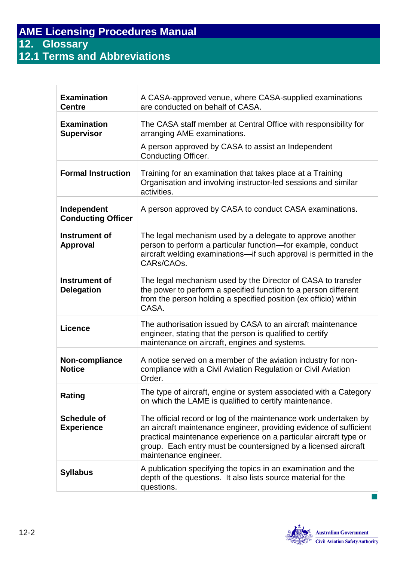**12.1 Terms and Abbreviations**

| <b>Examination</b><br><b>Centre</b>      | A CASA-approved venue, where CASA-supplied examinations<br>are conducted on behalf of CASA.                                                                                                                                                                                                            |
|------------------------------------------|--------------------------------------------------------------------------------------------------------------------------------------------------------------------------------------------------------------------------------------------------------------------------------------------------------|
| <b>Examination</b><br><b>Supervisor</b>  | The CASA staff member at Central Office with responsibility for<br>arranging AME examinations.                                                                                                                                                                                                         |
|                                          | A person approved by CASA to assist an Independent<br><b>Conducting Officer.</b>                                                                                                                                                                                                                       |
| <b>Formal Instruction</b>                | Training for an examination that takes place at a Training<br>Organisation and involving instructor-led sessions and similar<br>activities.                                                                                                                                                            |
| Independent<br><b>Conducting Officer</b> | A person approved by CASA to conduct CASA examinations.                                                                                                                                                                                                                                                |
| Instrument of<br><b>Approval</b>         | The legal mechanism used by a delegate to approve another<br>person to perform a particular function-for example, conduct<br>aircraft welding examinations—if such approval is permitted in the<br>CARs/CAOs.                                                                                          |
| Instrument of<br><b>Delegation</b>       | The legal mechanism used by the Director of CASA to transfer<br>the power to perform a specified function to a person different<br>from the person holding a specified position (ex officio) within<br>CASA.                                                                                           |
| <b>Licence</b>                           | The authorisation issued by CASA to an aircraft maintenance<br>engineer, stating that the person is qualified to certify<br>maintenance on aircraft, engines and systems.                                                                                                                              |
| Non-compliance<br><b>Notice</b>          | A notice served on a member of the aviation industry for non-<br>compliance with a Civil Aviation Regulation or Civil Aviation<br>Order.                                                                                                                                                               |
| Rating                                   | The type of aircraft, engine or system associated with a Category<br>on which the LAME is qualified to certify maintenance.                                                                                                                                                                            |
| <b>Schedule of</b><br><b>Experience</b>  | The official record or log of the maintenance work undertaken by<br>an aircraft maintenance engineer, providing evidence of sufficient<br>practical maintenance experience on a particular aircraft type or<br>group. Each entry must be countersigned by a licensed aircraft<br>maintenance engineer. |
| <b>Syllabus</b>                          | A publication specifying the topics in an examination and the<br>depth of the questions. It also lists source material for the<br>questions.                                                                                                                                                           |

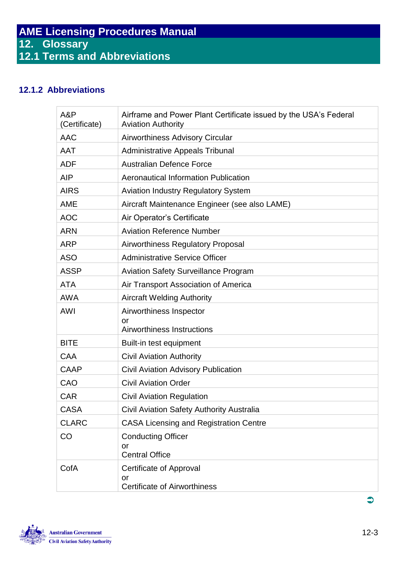## **12.1.2 Abbreviations**

| A&P<br>(Certificate) | Airframe and Power Plant Certificate issued by the USA's Federal<br><b>Aviation Authority</b> |
|----------------------|-----------------------------------------------------------------------------------------------|
| <b>AAC</b>           | <b>Airworthiness Advisory Circular</b>                                                        |
| <b>AAT</b>           | <b>Administrative Appeals Tribunal</b>                                                        |
| <b>ADF</b>           | <b>Australian Defence Force</b>                                                               |
| <b>AIP</b>           | Aeronautical Information Publication                                                          |
| <b>AIRS</b>          | <b>Aviation Industry Regulatory System</b>                                                    |
| <b>AME</b>           | Aircraft Maintenance Engineer (see also LAME)                                                 |
| <b>AOC</b>           | Air Operator's Certificate                                                                    |
| <b>ARN</b>           | <b>Aviation Reference Number</b>                                                              |
| <b>ARP</b>           | <b>Airworthiness Regulatory Proposal</b>                                                      |
| <b>ASO</b>           | <b>Administrative Service Officer</b>                                                         |
| <b>ASSP</b>          | <b>Aviation Safety Surveillance Program</b>                                                   |
| <b>ATA</b>           | Air Transport Association of America                                                          |
| <b>AWA</b>           | <b>Aircraft Welding Authority</b>                                                             |
| <b>AWI</b>           | Airworthiness Inspector                                                                       |
|                      | or<br>Airworthiness Instructions                                                              |
| <b>BITE</b>          | Built-in test equipment                                                                       |
| <b>CAA</b>           | <b>Civil Aviation Authority</b>                                                               |
| <b>CAAP</b>          | <b>Civil Aviation Advisory Publication</b>                                                    |
| CAO                  | <b>Civil Aviation Order</b>                                                                   |
| <b>CAR</b>           | <b>Civil Aviation Regulation</b>                                                              |
| <b>CASA</b>          | Civil Aviation Safety Authority Australia                                                     |
| <b>CLARC</b>         | <b>CASA Licensing and Registration Centre</b>                                                 |
| CO                   | <b>Conducting Officer</b>                                                                     |
|                      | or                                                                                            |
|                      | <b>Central Office</b>                                                                         |
| CofA                 | Certificate of Approval                                                                       |
|                      | or<br><b>Certificate of Airworthiness</b>                                                     |



 $\bullet$